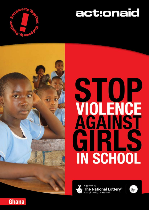

# act:onaid



# **STOP**<br>VOLENCE<br>AGAINST GIRLS **IN SCHOOL**



Supported by The National Lottery<sup>®</sup>



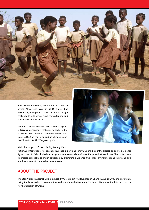

Research undertaken by ActionAid in 12 countries across Africa and Asia in 2004 shows that violence against girls in school constitutes a major challenge to girls' school enrolment, retention and educational performance.

ActionAid Ghana believes that violence against girls is an urgent priority that must be addressed to enable Ghana to attain the Millennium Development Goals (MDGs) on education and gender parity and the Education for All (EFA) goals by 2015.



With the support of the UK's Big Lottery Fund,

ActionAid International has recently launched a new and innovative multi-country project called Stop Violence Against Girls in School which is being run simultaneously in Ghana, Kenya and Mozambique. The project aims to protect girls' rights to and in education by promoting a violence-free school environment and improving girls' enrolment, retention and achievement levels.

## ABOUT THE PROJECT

The Stop Violence Against Girls in School (SVAGS) project was launched in Ghana in August 2008 and is currently being implemented in 13 communities and schools in the Nanumba North and Nanumba South Districts of the Northern Region of Ghana.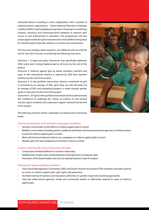ActionAid Ghana is working in close collaboration with a number of national partner organizations – Ghana National Education Campaign Coalition (GNECC) and Songtaba among others. The project is combining research, advocacy and community-level initiatives to improve girls' access to and achievement in education. The programmes will also create opportunities for girls' empowerment and establish lasting basis for transformation of gender relations in schools and communities.

This five-year initiative which started in July 2008 and will run until the end of June 2013, focuses on achieving the following outcomes:

Outcome 1: A legal and policy framework that specifically addresses VAGS exists and is being implemented at all levels by the end of the project.

Outcome 2: Violence against girls by family members, teachers and peers in the intervention districts is reduced by 50% from baseline statistics by the end of the project.

Outcome 3: In the portfolio intervention districts, enrolment of girls is increased by an average of 30%, girls' drop out rate decreases by an average of 30% and substantial progress is made towards gender parity in education by the end of the project.

Outcome 4: 1,075 girls in the portfolio intervention districts demonstrate the confidence to challenge the culture of violence in and around schools, report incidents and create peer support networks by the end of the project.



The following activities will be undertaken at national and community levels:

### Community awareness and sensitization campaigns intended to:

- Sensitise communities on the effects of violence against girls in school
- Mobilise communities including parents, traditional authorities and local government agencies to institute actions to prevent violence against girls in schools.
- Work with local and national media to run campaigns on violence against girls in school.
- Mobilise girls who have dropped out of school to return to school

### Creation of girl-friendly school environments through:

- Construction of toilet facilities for 6 schools in Nanumba.
- Establishment of girls' clubs and development of programmes to empower girls.
- Promotion of the dissemination and use of a national teachers' Code of Conduct.

### Training and capacity-building intended to:

- Train School Management Committees (SMC) and Parent-Teacher Association (PTA) members and other parents on issues on violence against girls, girls' rights and protection.
- Facilitate training of teachers and education authorities on gender-responsive teaching approaches.
- Train law enforcement agencies, media and community leaders to effectively respond to cases of violence against girls.